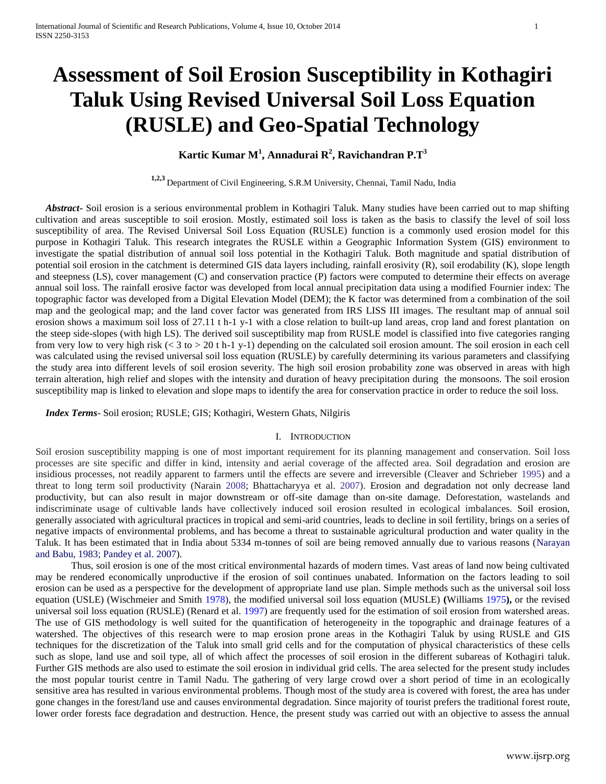# **Assessment of Soil Erosion Susceptibility in Kothagiri Taluk Using Revised Universal Soil Loss Equation (RUSLE) and Geo-Spatial Technology**

## **Kartic Kumar M<sup>1</sup> , Annadurai R<sup>2</sup> , Ravichandran P.T<sup>3</sup>**

**1,2,3** Department of Civil Engineering, S.R.M University, Chennai, Tamil Nadu, India

 *Abstract***-** Soil erosion is a serious environmental problem in Kothagiri Taluk. Many studies have been carried out to map shifting cultivation and areas susceptible to soil erosion. Mostly, estimated soil loss is taken as the basis to classify the level of soil loss susceptibility of area. The Revised Universal Soil Loss Equation (RUSLE) function is a commonly used erosion model for this purpose in Kothagiri Taluk. This research integrates the RUSLE within a Geographic Information System (GIS) environment to investigate the spatial distribution of annual soil loss potential in the Kothagiri Taluk. Both magnitude and spatial distribution of potential soil erosion in the catchment is determined GIS data layers including, rainfall erosivity (R), soil erodability (K), slope length and steepness (LS), cover management (C) and conservation practice (P) factors were computed to determine their effects on average annual soil loss. The rainfall erosive factor was developed from local annual precipitation data using a modified Fournier index: The topographic factor was developed from a Digital Elevation Model (DEM); the K factor was determined from a combination of the soil map and the geological map; and the land cover factor was generated from IRS LISS III images. The resultant map of annual soil erosion shows a maximum soil loss of 27.11 t h-1 y-1 with a close relation to built-up land areas, crop land and forest plantation on the steep side-slopes (with high LS). The derived soil susceptibility map from RUSLE model is classified into five categories ranging from very low to very high risk (< 3 to > 20 t h-1 y-1) depending on the calculated soil erosion amount. The soil erosion in each cell was calculated using the revised universal soil loss equation (RUSLE) by carefully determining its various parameters and classifying the study area into different levels of soil erosion severity. The high soil erosion probability zone was observed in areas with high terrain alteration, high relief and slopes with the intensity and duration of heavy precipitation during the monsoons. The soil erosion susceptibility map is linked to elevation and slope maps to identify the area for conservation practice in order to reduce the soil loss.

 *Index Terms*- Soil erosion; RUSLE; GIS; Kothagiri, Western Ghats, Nilgiris

## I. INTRODUCTION

Soil erosion susceptibility mapping is one of most important requirement for its planning management and conservation. Soil loss processes are site specific and differ in kind, intensity and aerial coverage of the affected area. Soil degradation and erosion are insidious processes, not readily apparent to farmers until the effects are severe and irreversible (Cleaver and Schrieber 1995) and a threat to long term soil productivity (Narain 2008; Bhattacharyya et al. 2007). Erosion and degradation not only decrease land productivity, but can also result in major downstream or off-site damage than on-site damage. Deforestation, wastelands and indiscriminate usage of cultivable lands have collectively induced soil erosion resulted in ecological imbalances. Soil erosion, generally associated with agricultural practices in tropical and semi-arid countries, leads to decline in soil fertility, brings on a series of negative impacts of environmental problems, and has become a threat to sustainable agricultural production and water quality in the Taluk. It has been estimated that in India about 5334 m-tonnes of soil are being removed annually due to various reasons (Narayan and Babu, 1983; Pandey et al. 2007).

Thus, soil erosion is one of the most critical environmental hazards of modern times. Vast areas of land now being cultivated may be rendered economically unproductive if the erosion of soil continues unabated. Information on the factors leading to soil erosion can be used as a perspective for the development of appropriate land use plan. Simple methods such as the universal soil loss equation (USLE) (Wischmeier and Smith 1978), the modified universal soil loss equation (MUSLE) **(**Williams 1975**),** or the revised universal soil loss equation (RUSLE) (Renard et al. 1997) are frequently used for the estimation of soil erosion from watershed areas. The use of GIS methodology is well suited for the quantification of heterogeneity in the topographic and drainage features of a watershed. The objectives of this research were to map erosion prone areas in the Kothagiri Taluk by using RUSLE and GIS techniques for the discretization of the Taluk into small grid cells and for the computation of physical characteristics of these cells such as slope, land use and soil type, all of which affect the processes of soil erosion in the different subareas of Kothagiri taluk. Further GIS methods are also used to estimate the soil erosion in individual grid cells. The area selected for the present study includes the most popular tourist centre in Tamil Nadu. The gathering of very large crowd over a short period of time in an ecologically sensitive area has resulted in various environmental problems. Though most of the study area is covered with forest, the area has under gone changes in the forest/land use and causes environmental degradation. Since majority of tourist prefers the traditional forest route, lower order forests face degradation and destruction. Hence, the present study was carried out with an objective to assess the annual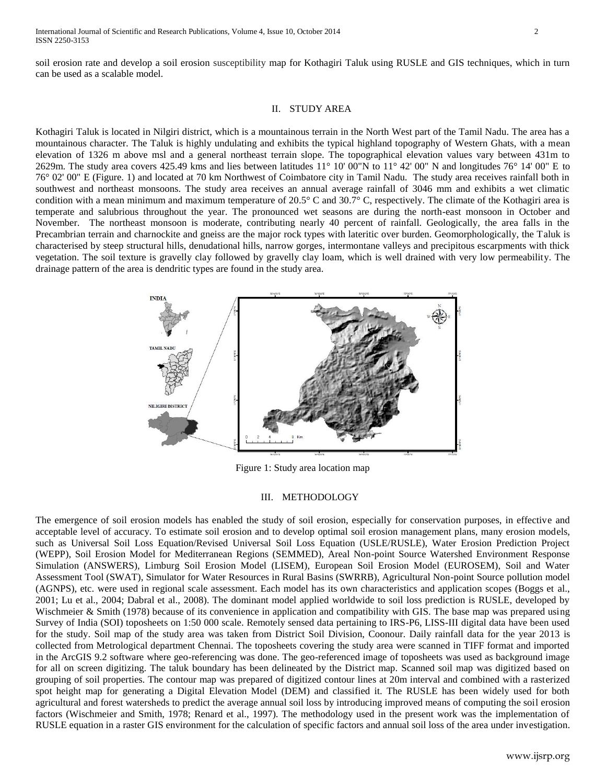soil erosion rate and develop a soil erosion susceptibility map for Kothagiri Taluk using RUSLE and GIS techniques, which in turn can be used as a scalable model.

## II. STUDY AREA

Kothagiri Taluk is located in Nilgiri district, which is a mountainous terrain in the North West part of the Tamil Nadu. The area has a mountainous character. The Taluk is highly undulating and exhibits the typical highland topography of Western Ghats, with a mean elevation of 1326 m above msl and a general northeast terrain slope. The topographical elevation values vary between 431m to 2629m. The study area covers 425.49 kms and lies between latitudes 11° 10' 00"N to 11° 42' 00" N and longitudes 76° 14' 00" E to 76° 02' 00" E (Figure. 1) and located at 70 km Northwest of Coimbatore city in Tamil Nadu. The study area receives rainfall both in southwest and northeast monsoons. The study area receives an annual average rainfall of 3046 mm and exhibits a wet climatic condition with a mean minimum and maximum temperature of 20.5° C and 30.7° C, respectively. The climate of the Kothagiri area is temperate and salubrious throughout the year. The pronounced wet seasons are during the north-east monsoon in October and November. The northeast monsoon is moderate, contributing nearly 40 percent of rainfall. Geologically, the area falls in the Precambrian terrain and charnockite and gneiss are the major rock types with lateritic over burden. Geomorphologically, the Taluk is characterised by steep structural hills, denudational hills, narrow gorges, intermontane valleys and precipitous escarpments with thick vegetation. The soil texture is gravelly clay followed by gravelly clay loam, which is well drained with very low permeability. The drainage pattern of the area is dendritic types are found in the study area.



Figure 1: Study area location map

#### III. METHODOLOGY

The emergence of soil erosion models has enabled the study of soil erosion, especially for conservation purposes, in effective and acceptable level of accuracy. To estimate soil erosion and to develop optimal soil erosion management plans, many erosion models, such as Universal Soil Loss Equation/Revised Universal Soil Loss Equation (USLE/RUSLE), Water Erosion Prediction Project (WEPP), Soil Erosion Model for Mediterranean Regions (SEMMED), Areal Non-point Source Watershed Environment Response Simulation (ANSWERS), Limburg Soil Erosion Model (LISEM), European Soil Erosion Model (EUROSEM), Soil and Water Assessment Tool (SWAT), Simulator for Water Resources in Rural Basins (SWRRB), Agricultural Non-point Source pollution model (AGNPS), etc. were used in regional scale assessment. Each model has its own characteristics and application scopes (Boggs et al., 2001; Lu et al., 2004; Dabral et al., 2008). The dominant model applied worldwide to soil loss prediction is RUSLE, developed by Wischmeier & Smith (1978) because of its convenience in application and compatibility with GIS. The base map was prepared using Survey of India (SOI) toposheets on 1:50 000 scale. Remotely sensed data pertaining to IRS-P6, LISS-III digital data have been used for the study. Soil map of the study area was taken from District Soil Division, Coonour. Daily rainfall data for the year 2013 is collected from Metrological department Chennai. The toposheets covering the study area were scanned in TIFF format and imported in the ArcGIS 9.2 software where geo-referencing was done. The geo-referenced image of toposheets was used as background image for all on screen digitizing. The taluk boundary has been delineated by the District map. Scanned soil map was digitized based on grouping of soil properties. The contour map was prepared of digitized contour lines at 20m interval and combined with a rasterized spot height map for generating a Digital Elevation Model (DEM) and classified it. The RUSLE has been widely used for both agricultural and forest watersheds to predict the average annual soil loss by introducing improved means of computing the soil erosion factors (Wischmeier and Smith, 1978; Renard et al., 1997). The methodology used in the present work was the implementation of RUSLE equation in a raster GIS environment for the calculation of specific factors and annual soil loss of the area under investigation.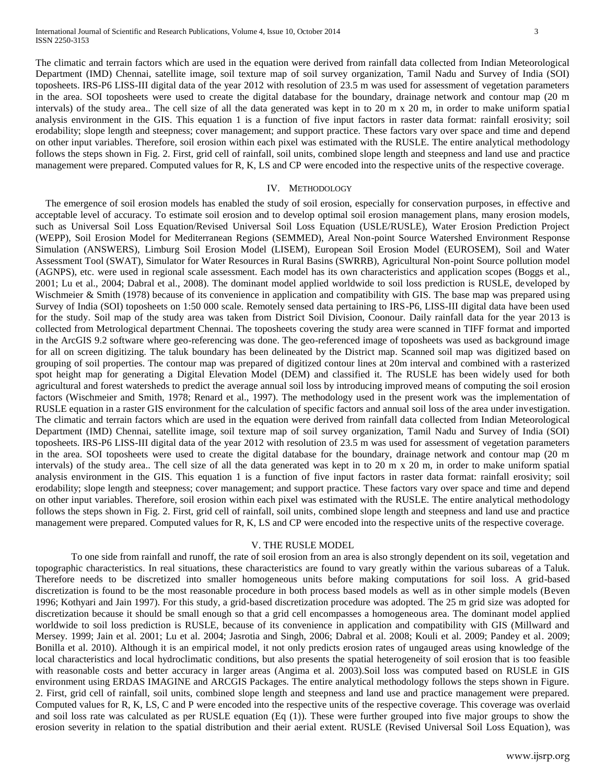The climatic and terrain factors which are used in the equation were derived from rainfall data collected from Indian Meteorological Department (IMD) Chennai, satellite image, soil texture map of soil survey organization, Tamil Nadu and Survey of India (SOI) toposheets. IRS-P6 LISS-III digital data of the year 2012 with resolution of 23.5 m was used for assessment of vegetation parameters in the area. SOI toposheets were used to create the digital database for the boundary, drainage network and contour map (20 m intervals) of the study area.. The cell size of all the data generated was kept in to 20 m x 20 m, in order to make uniform spatial analysis environment in the GIS. This equation 1 is a function of five input factors in raster data format: rainfall erosivity; soil erodability; slope length and steepness; cover management; and support practice. These factors vary over space and time and depend on other input variables. Therefore, soil erosion within each pixel was estimated with the RUSLE. The entire analytical methodology follows the steps shown in Fig. 2. First, grid cell of rainfall, soil units, combined slope length and steepness and land use and practice management were prepared. Computed values for R, K, LS and CP were encoded into the respective units of the respective coverage.

### IV. METHODOLOGY

 The emergence of soil erosion models has enabled the study of soil erosion, especially for conservation purposes, in effective and acceptable level of accuracy. To estimate soil erosion and to develop optimal soil erosion management plans, many erosion models, such as Universal Soil Loss Equation/Revised Universal Soil Loss Equation (USLE/RUSLE), Water Erosion Prediction Project (WEPP), Soil Erosion Model for Mediterranean Regions (SEMMED), Areal Non-point Source Watershed Environment Response Simulation (ANSWERS), Limburg Soil Erosion Model (LISEM), European Soil Erosion Model (EUROSEM), Soil and Water Assessment Tool (SWAT), Simulator for Water Resources in Rural Basins (SWRRB), Agricultural Non-point Source pollution model (AGNPS), etc. were used in regional scale assessment. Each model has its own characteristics and application scopes (Boggs et al., 2001; Lu et al., 2004; Dabral et al., 2008). The dominant model applied worldwide to soil loss prediction is RUSLE, developed by Wischmeier & Smith (1978) because of its convenience in application and compatibility with GIS. The base map was prepared using Survey of India (SOI) toposheets on 1:50 000 scale. Remotely sensed data pertaining to IRS-P6, LISS-III digital data have been used for the study. Soil map of the study area was taken from District Soil Division, Coonour. Daily rainfall data for the year 2013 is collected from Metrological department Chennai. The toposheets covering the study area were scanned in TIFF format and imported in the ArcGIS 9.2 software where geo-referencing was done. The geo-referenced image of toposheets was used as background image for all on screen digitizing. The taluk boundary has been delineated by the District map. Scanned soil map was digitized based on grouping of soil properties. The contour map was prepared of digitized contour lines at 20m interval and combined with a rasterized spot height map for generating a Digital Elevation Model (DEM) and classified it. The RUSLE has been widely used for both agricultural and forest watersheds to predict the average annual soil loss by introducing improved means of computing the soil erosion factors (Wischmeier and Smith, 1978; Renard et al., 1997). The methodology used in the present work was the implementation of RUSLE equation in a raster GIS environment for the calculation of specific factors and annual soil loss of the area under investigation. The climatic and terrain factors which are used in the equation were derived from rainfall data collected from Indian Meteorological Department (IMD) Chennai, satellite image, soil texture map of soil survey organization, Tamil Nadu and Survey of India (SOI) toposheets. IRS-P6 LISS-III digital data of the year 2012 with resolution of 23.5 m was used for assessment of vegetation parameters in the area. SOI toposheets were used to create the digital database for the boundary, drainage network and contour map (20 m intervals) of the study area.. The cell size of all the data generated was kept in to 20 m x 20 m, in order to make uniform spatial analysis environment in the GIS. This equation 1 is a function of five input factors in raster data format: rainfall erosivity; soil erodability; slope length and steepness; cover management; and support practice. These factors vary over space and time and depend on other input variables. Therefore, soil erosion within each pixel was estimated with the RUSLE. The entire analytical methodology follows the steps shown in Fig. 2. First, grid cell of rainfall, soil units, combined slope length and steepness and land use and practice management were prepared. Computed values for R, K, LS and CP were encoded into the respective units of the respective coverage.

#### V. THE RUSLE MODEL

To one side from rainfall and runoff, the rate of soil erosion from an area is also strongly dependent on its soil, vegetation and topographic characteristics. In real situations, these characteristics are found to vary greatly within the various subareas of a Taluk. Therefore needs to be discretized into smaller homogeneous units before making computations for soil loss. A grid-based discretization is found to be the most reasonable procedure in both process based models as well as in other simple models (Beven 1996; Kothyari and Jain 1997). For this study, a grid-based discretization procedure was adopted. The 25 m grid size was adopted for discretization because it should be small enough so that a grid cell encompasses a homogeneous area. The dominant model applied worldwide to soil loss prediction is RUSLE, because of its convenience in application and compatibility with GIS (Millward and Mersey. 1999; Jain et al. 2001; Lu et al. 2004; Jasrotia and Singh, 2006; Dabral et al. 2008; Kouli et al. 2009; Pandey et al. 2009; Bonilla et al. 2010). Although it is an empirical model, it not only predicts erosion rates of ungauged areas using knowledge of the local characteristics and local hydroclimatic conditions, but also presents the spatial heterogeneity of soil erosion that is too feasible with reasonable costs and better accuracy in larger areas (Angima et al. 2003).Soil loss was computed based on RUSLE in GIS environment using ERDAS IMAGINE and ARCGIS Packages. The entire analytical methodology follows the steps shown in Figure. 2. First, grid cell of rainfall, soil units, combined slope length and steepness and land use and practice management were prepared. Computed values for R, K, LS, C and P were encoded into the respective units of the respective coverage. This coverage was overlaid and soil loss rate was calculated as per RUSLE equation (Eq (1)). These were further grouped into five major groups to show the erosion severity in relation to the spatial distribution and their aerial extent. RUSLE (Revised Universal Soil Loss Equation), was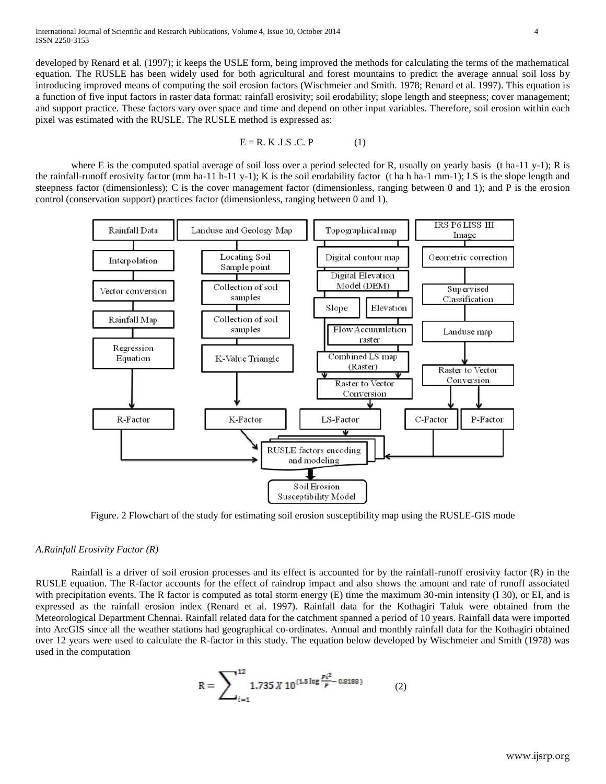developed by Renard et al. (1997); it keeps the USLE form, being improved the methods for calculating the terms of the mathematical equation. The RUSLE has been widely used for both agricultural and forest mountains to predict the average annual soil loss by introducing improved means of computing the soil erosion factors (Wischmeier and Smith. 1978; Renard et al. 1997). This equation is a function of five input factors in raster data format: rainfall erosivity; soil erodability; slope length and steepness; cover management; and support practice. These factors vary over space and time and depend on other input variables. Therefore, soil erosion within each pixel was estimated with the RUSLE. The RUSLE method is expressed as:

$$
E = R. K. LS.C. P
$$
 (1)

where E is the computed spatial average of soil loss over a period selected for R, usually on yearly basis (t ha-11 y-1); R is the rainfall-runoff erosivity factor (mm ha-11 h-11 y-1); K is the soil erodability factor (t ha h ha-1 mm-1); LS is the slope length and steepness factor (dimensionless); C is the cover management factor (dimensionless, ranging between 0 and 1); and P is the erosion control (conservation support) practices factor (dimensionless, ranging between 0 and 1).



Figure. 2 Flowchart of the study for estimating soil erosion susceptibility map using the RUSLE-GIS mode

## *A.Rainfall Erosivity Factor (R)*

Rainfall is a driver of soil erosion processes and its effect is accounted for by the rainfall-runoff erosivity factor (R) in the RUSLE equation. The R-factor accounts for the effect of raindrop impact and also shows the amount and rate of runoff associated with precipitation events. The R factor is computed as total storm energy (E) time the maximum 30-min intensity (I 30), or EI, and is expressed as the rainfall erosion index (Renard et al. 1997). Rainfall data for the Kothagiri Taluk were obtained from the Meteorological Department Chennai. Rainfall related data for the catchment spanned a period of 10 years. Rainfall data were imported into ArcGIS since all the weather stations had geographical co-ordinates. Annual and monthly rainfall data for the Kothagiri obtained over 12 years were used to calculate the R-factor in this study. The equation below developed by Wischmeier and Smith (1978) was used in the computation

$$
R = \sum_{i=1}^{12} 1.735 X 10^{(1.5 \log \frac{pi^2}{p} - 0.8188)} \tag{2}
$$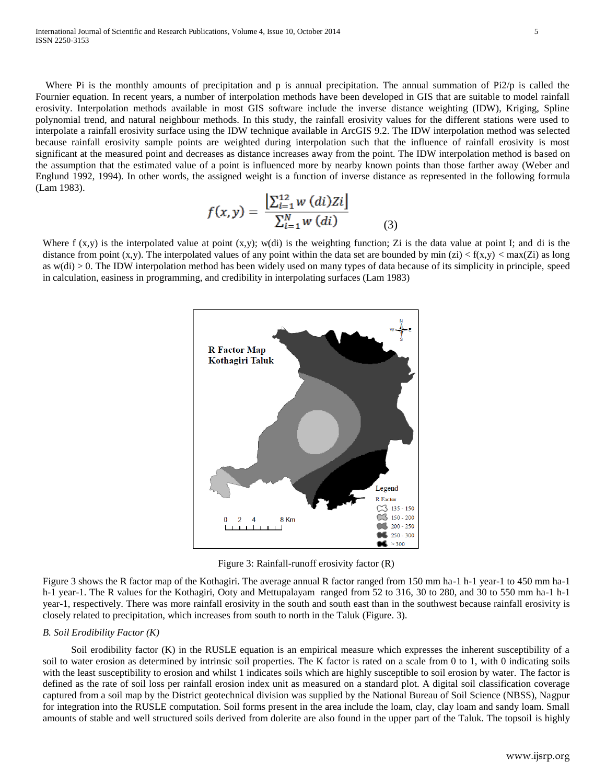Where Pi is the monthly amounts of precipitation and p is annual precipitation. The annual summation of Pi2/p is called the Fournier equation. In recent years, a number of interpolation methods have been developed in GIS that are suitable to model rainfall erosivity. Interpolation methods available in most GIS software include the inverse distance weighting (IDW), Kriging, Spline polynomial trend, and natural neighbour methods. In this study, the rainfall erosivity values for the different stations were used to interpolate a rainfall erosivity surface using the IDW technique available in ArcGIS 9.2. The IDW interpolation method was selected because rainfall erosivity sample points are weighted during interpolation such that the influence of rainfall erosivity is most significant at the measured point and decreases as distance increases away from the point. The IDW interpolation method is based on the assumption that the estimated value of a point is influenced more by nearby known points than those farther away (Weber and Englund 1992, 1994). In other words, the assigned weight is a function of inverse distance as represented in the following formula (Lam 1983).

$$
f(x,y) = \frac{\left[\sum_{i=1}^{12} w\ (di)Zi\right]}{\sum_{i=1}^{N} w\ (di)}\tag{3}
$$

Where  $f(x,y)$  is the interpolated value at point  $(x,y)$ ; w(di) is the weighting function; Zi is the data value at point I; and di is the distance from point  $(x,y)$ . The interpolated values of any point within the data set are bounded by min  $(zi) < f(x,y) < max(Zi)$  as long as w(di) > 0. The IDW interpolation method has been widely used on many types of data because of its simplicity in principle, speed in calculation, easiness in programming, and credibility in interpolating surfaces (Lam 1983)



Figure 3: Rainfall-runoff erosivity factor (R)

Figure 3 shows the R factor map of the Kothagiri. The average annual R factor ranged from 150 mm ha-1 h-1 year-1 to 450 mm ha-1 h-1 year-1. The R values for the Kothagiri, Ooty and Mettupalayam ranged from 52 to 316, 30 to 280, and 30 to 550 mm ha-1 h-1 year-1, respectively. There was more rainfall erosivity in the south and south east than in the southwest because rainfall erosivity is closely related to precipitation, which increases from south to north in the Taluk (Figure. 3).

## *B. Soil Erodibility Factor (K)*

Soil erodibility factor (K) in the RUSLE equation is an empirical measure which expresses the inherent susceptibility of a soil to water erosion as determined by intrinsic soil properties. The K factor is rated on a scale from 0 to 1, with 0 indicating soils with the least susceptibility to erosion and whilst 1 indicates soils which are highly susceptible to soil erosion by water. The factor is defined as the rate of soil loss per rainfall erosion index unit as measured on a standard plot. A digital soil classification coverage captured from a soil map by the District geotechnical division was supplied by the National Bureau of Soil Science (NBSS), Nagpur for integration into the RUSLE computation. Soil forms present in the area include the loam, clay, clay loam and sandy loam. Small amounts of stable and well structured soils derived from dolerite are also found in the upper part of the Taluk. The topsoil is highly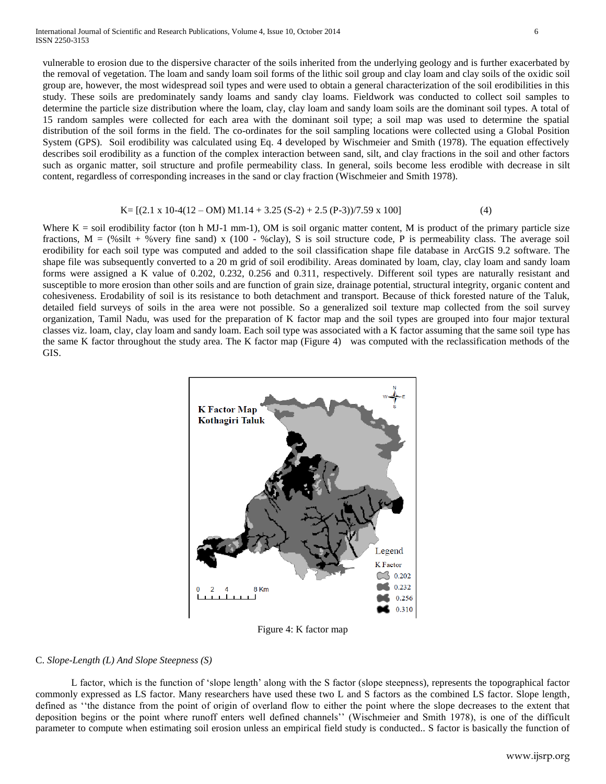vulnerable to erosion due to the dispersive character of the soils inherited from the underlying geology and is further exacerbated by the removal of vegetation. The loam and sandy loam soil forms of the lithic soil group and clay loam and clay soils of the oxidic soil group are, however, the most widespread soil types and were used to obtain a general characterization of the soil erodibilities in this study. These soils are predominately sandy loams and sandy clay loams. Fieldwork was conducted to collect soil samples to determine the particle size distribution where the loam, clay, clay loam and sandy loam soils are the dominant soil types. A total of 15 random samples were collected for each area with the dominant soil type; a soil map was used to determine the spatial distribution of the soil forms in the field. The co-ordinates for the soil sampling locations were collected using a Global Position System (GPS). Soil erodibility was calculated using Eq. 4 developed by Wischmeier and Smith (1978). The equation effectively describes soil erodibility as a function of the complex interaction between sand, silt, and clay fractions in the soil and other factors such as organic matter, soil structure and profile permeability class. In general, soils become less erodible with decrease in silt content, regardless of corresponding increases in the sand or clay fraction (Wischmeier and Smith 1978).

#### $K = [(2.1 \times 10-4(12 - OM) M1.14 + 3.25 (S-2) + 2.5 (P-3))/7.59 \times 100]$  (4)

Where  $K =$  soil erodibility factor (ton h MJ-1 mm-1), OM is soil organic matter content, M is product of the primary particle size fractions,  $M =$  (%silt + %very fine sand) x (100 - %clay), S is soil structure code, P is permeability class. The average soil erodibility for each soil type was computed and added to the soil classification shape file database in ArcGIS 9.2 software. The shape file was subsequently converted to a 20 m grid of soil erodibility. Areas dominated by loam, clay, clay loam and sandy loam forms were assigned a K value of 0.202, 0.232, 0.256 and 0.311, respectively. Different soil types are naturally resistant and susceptible to more erosion than other soils and are function of grain size, drainage potential, structural integrity, organic content and cohesiveness. Erodability of soil is its resistance to both detachment and transport. Because of thick forested nature of the Taluk, detailed field surveys of soils in the area were not possible. So a generalized soil texture map collected from the soil survey organization, Tamil Nadu, was used for the preparation of K factor map and the soil types are grouped into four major textural classes viz. loam, clay, clay loam and sandy loam. Each soil type was associated with a K factor assuming that the same soil type has the same K factor throughout the study area. The K factor map (Figure 4) was computed with the reclassification methods of the GIS.



Figure 4: K factor map

#### C. *Slope-Length (L) And Slope Steepness (S)*

L factor, which is the function of 'slope length' along with the S factor (slope steepness), represents the topographical factor commonly expressed as LS factor. Many researchers have used these two L and S factors as the combined LS factor. Slope length, defined as ''the distance from the point of origin of overland flow to either the point where the slope decreases to the extent that deposition begins or the point where runoff enters well defined channels'' (Wischmeier and Smith 1978), is one of the difficult parameter to compute when estimating soil erosion unless an empirical field study is conducted.. S factor is basically the function of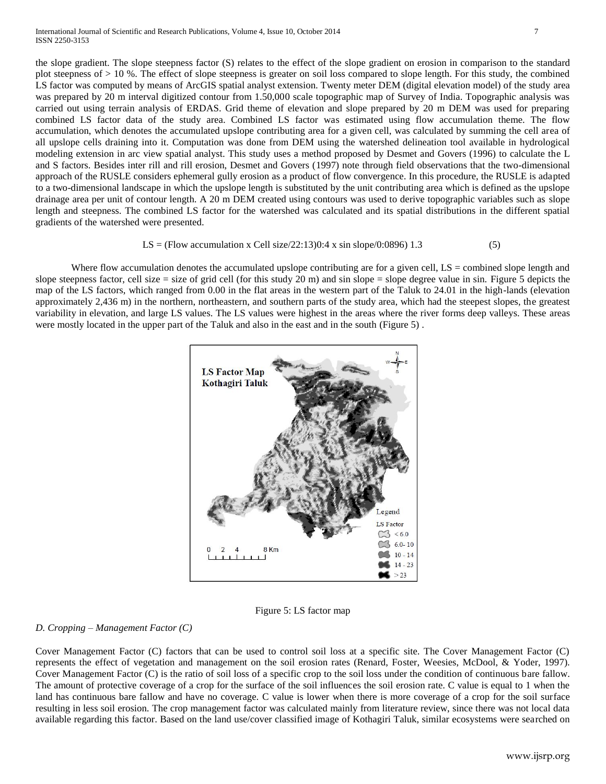the slope gradient. The slope steepness factor (S) relates to the effect of the slope gradient on erosion in comparison to the standard plot steepness of > 10 %. The effect of slope steepness is greater on soil loss compared to slope length. For this study, the combined LS factor was computed by means of ArcGIS spatial analyst extension. Twenty meter DEM (digital elevation model) of the study area was prepared by 20 m interval digitized contour from 1.50,000 scale topographic map of Survey of India. Topographic analysis was carried out using terrain analysis of ERDAS. Grid theme of elevation and slope prepared by 20 m DEM was used for preparing combined LS factor data of the study area. Combined LS factor was estimated using flow accumulation theme. The flow accumulation, which denotes the accumulated upslope contributing area for a given cell, was calculated by summing the cell area of all upslope cells draining into it. Computation was done from DEM using the watershed delineation tool available in hydrological modeling extension in arc view spatial analyst. This study uses a method proposed by Desmet and Govers (1996) to calculate the L and S factors. Besides inter rill and rill erosion, Desmet and Govers (1997) note through field observations that the two-dimensional approach of the RUSLE considers ephemeral gully erosion as a product of flow convergence. In this procedure, the RUSLE is adapted to a two-dimensional landscape in which the upslope length is substituted by the unit contributing area which is defined as the upslope drainage area per unit of contour length. A 20 m DEM created using contours was used to derive topographic variables such as slope length and steepness. The combined LS factor for the watershed was calculated and its spatial distributions in the different spatial gradients of the watershed were presented.

## LS = (Flow accumulation x Cell size/22:13)0:4 x sin slope/0:0896) 1.3 (5)

Where flow accumulation denotes the accumulated upslope contributing are for a given cell,  $LS =$  combined slope length and slope steepness factor, cell size = size of grid cell (for this study 20 m) and sin slope = slope degree value in sin. Figure 5 depicts the map of the LS factors, which ranged from 0.00 in the flat areas in the western part of the Taluk to 24.01 in the high-lands (elevation approximately 2,436 m) in the northern, northeastern, and southern parts of the study area, which had the steepest slopes, the greatest variability in elevation, and large LS values. The LS values were highest in the areas where the river forms deep valleys. These areas were mostly located in the upper part of the Taluk and also in the east and in the south (Figure 5) .



Figure 5: LS factor map

## *D. Cropping – Management Factor (C)*

Cover Management Factor (C) factors that can be used to control soil loss at a specific site. The Cover Management Factor (C) represents the effect of vegetation and management on the soil erosion rates (Renard, Foster, Weesies, McDool, & Yoder, 1997). Cover Management Factor (C) is the ratio of soil loss of a specific crop to the soil loss under the condition of continuous bare fallow. The amount of protective coverage of a crop for the surface of the soil influences the soil erosion rate. C value is equal to 1 when the land has continuous bare fallow and have no coverage. C value is lower when there is more coverage of a crop for the soil surface resulting in less soil erosion. The crop management factor was calculated mainly from literature review, since there was not local data available regarding this factor. Based on the land use/cover classified image of Kothagiri Taluk, similar ecosystems were searched on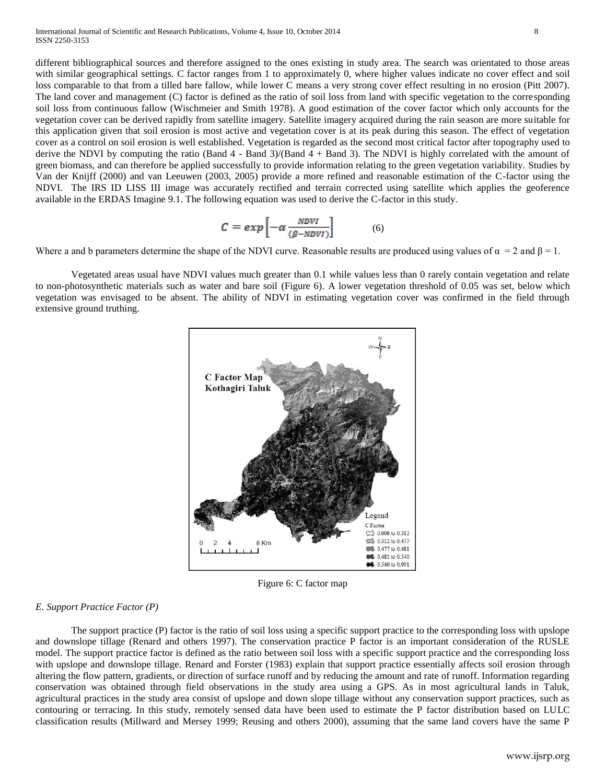different bibliographical sources and therefore assigned to the ones existing in study area. The search was orientated to those areas with similar geographical settings. C factor ranges from 1 to approximately 0, where higher values indicate no cover effect and soil loss comparable to that from a tilled bare fallow, while lower C means a very strong cover effect resulting in no erosion (Pitt 2007). The land cover and management (C) factor is defined as the ratio of soil loss from land with specific vegetation to the corresponding soil loss from continuous fallow (Wischmeier and Smith 1978). A good estimation of the cover factor which only accounts for the vegetation cover can be derived rapidly from satellite imagery. Satellite imagery acquired during the rain season are more suitable for this application given that soil erosion is most active and vegetation cover is at its peak during this season. The effect of vegetation cover as a control on soil erosion is well established. Vegetation is regarded as the second most critical factor after topography used to derive the NDVI by computing the ratio (Band  $4 -$  Band 3)/(Band  $4 +$  Band 3). The NDVI is highly correlated with the amount of green biomass, and can therefore be applied successfully to provide information relating to the green vegetation variability. Studies by Van der Knijff (2000) and van Leeuwen (2003, 2005) provide a more refined and reasonable estimation of the C-factor using the NDVI. The IRS ID LISS III image was accurately rectified and terrain corrected using satellite which applies the geoference available in the ERDAS Imagine 9.1. The following equation was used to derive the C-factor in this study.

$$
C = exp\left[-\alpha \frac{NDVI}{(\beta - NDVI)}\right] \tag{6}
$$

Where a and b parameters determine the shape of the NDVI curve. Reasonable results are produced using values of  $\alpha = 2$  and  $\beta = 1$ .

Vegetated areas usual have NDVI values much greater than 0.1 while values less than 0 rarely contain vegetation and relate to non-photosynthetic materials such as water and bare soil (Figure 6). A lower vegetation threshold of 0.05 was set, below which vegetation was envisaged to be absent. The ability of NDVI in estimating vegetation cover was confirmed in the field through extensive ground truthing.



Figure 6: C factor map

## *E. Support Practice Factor (P)*

The support practice (P) factor is the ratio of soil loss using a specific support practice to the corresponding loss with upslope and downslope tillage (Renard and others 1997). The conservation practice P factor is an important consideration of the RUSLE model. The support practice factor is defined as the ratio between soil loss with a specific support practice and the corresponding loss with upslope and downslope tillage. Renard and Forster (1983) explain that support practice essentially affects soil erosion through altering the flow pattern, gradients, or direction of surface runoff and by reducing the amount and rate of runoff. Information regarding conservation was obtained through field observations in the study area using a GPS. As in most agricultural lands in Taluk, agricultural practices in the study area consist of upslope and down slope tillage without any conservation support practices, such as contouring or terracing. In this study, remotely sensed data have been used to estimate the P factor distribution based on LULC classification results (Millward and Mersey 1999; Reusing and others 2000), assuming that the same land covers have the same P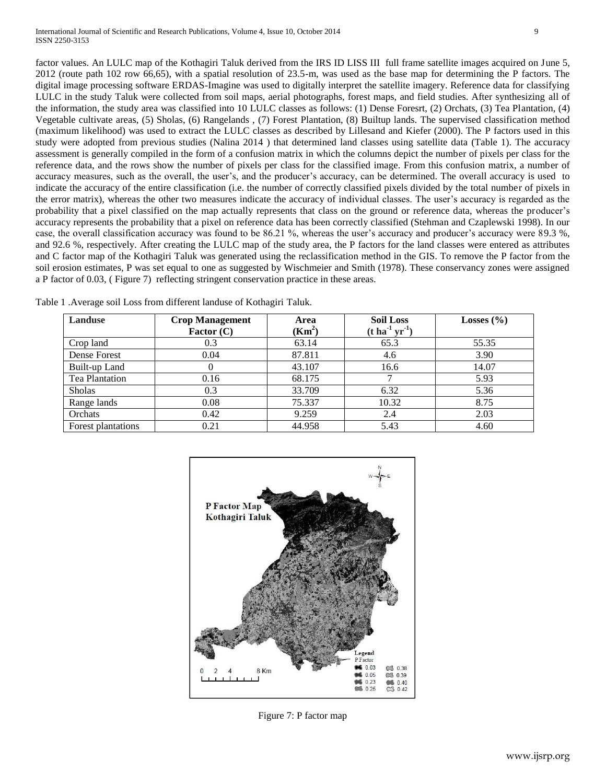factor values. An LULC map of the Kothagiri Taluk derived from the IRS ID LISS III full frame satellite images acquired on June 5, 2012 (route path 102 row 66,65), with a spatial resolution of 23.5-m, was used as the base map for determining the P factors. The digital image processing software ERDAS-Imagine was used to digitally interpret the satellite imagery. Reference data for classifying LULC in the study Taluk were collected from soil maps, aerial photographs, forest maps, and field studies. After synthesizing all of the information, the study area was classified into 10 LULC classes as follows: (1) Dense Foresrt, (2) Orchats, (3) Tea Plantation, (4) Vegetable cultivate areas, (5) Sholas, (6) Rangelands , (7) Forest Plantation, (8) Builtup lands. The supervised classification method (maximum likelihood) was used to extract the LULC classes as described by Lillesand and Kiefer (2000). The P factors used in this study were adopted from previous studies (Nalina 2014 ) that determined land classes using satellite data (Table 1). The accuracy assessment is generally compiled in the form of a confusion matrix in which the columns depict the number of pixels per class for the reference data, and the rows show the number of pixels per class for the classified image. From this confusion matrix, a number of accuracy measures, such as the overall, the user's, and the producer's accuracy, can be determined. The overall accuracy is used to indicate the accuracy of the entire classification (i.e. the number of correctly classified pixels divided by the total number of pixels in the error matrix), whereas the other two measures indicate the accuracy of individual classes. The user's accuracy is regarded as the probability that a pixel classified on the map actually represents that class on the ground or reference data, whereas the producer's accuracy represents the probability that a pixel on reference data has been correctly classified (Stehman and Czaplewski 1998). In our case, the overall classification accuracy was found to be 86.21 %, whereas the user's accuracy and producer's accuracy were 89.3 %, and 92.6 %, respectively. After creating the LULC map of the study area, the P factors for the land classes were entered as attributes and C factor map of the Kothagiri Taluk was generated using the reclassification method in the GIS. To remove the P factor from the soil erosion estimates, P was set equal to one as suggested by Wischmeier and Smith (1978). These conservancy zones were assigned a P factor of 0.03, ( Figure 7) reflecting stringent conservation practice in these areas.

| Landuse            | <b>Crop Management</b> | Area     | <b>Soil Loss</b>                          | Losses $(\% )$ |
|--------------------|------------------------|----------|-------------------------------------------|----------------|
|                    | Factor $(C)$           | $(Km^2)$ | $(t \, \text{ha}^{-1} \, \text{yr}^{-1})$ |                |
| Crop land          | 0.3                    | 63.14    | 65.3                                      | 55.35          |
| Dense Forest       | 0.04                   | 87.811   | 4.6                                       | 3.90           |
| Built-up Land      |                        | 43.107   | 16.6                                      | 14.07          |
| Tea Plantation     | 0.16                   | 68.175   |                                           | 5.93           |
| <b>Sholas</b>      | 0.3                    | 33.709   | 6.32                                      | 5.36           |
| Range lands        | 0.08                   | 75.337   | 10.32                                     | 8.75           |
| Orchats            | 0.42                   | 9.259    | 2.4                                       | 2.03           |
| Forest plantations | 0.21                   | 44.958   | 5.43                                      | 4.60           |

Table 1 .Average soil Loss from different landuse of Kothagiri Taluk.



Figure 7: P factor map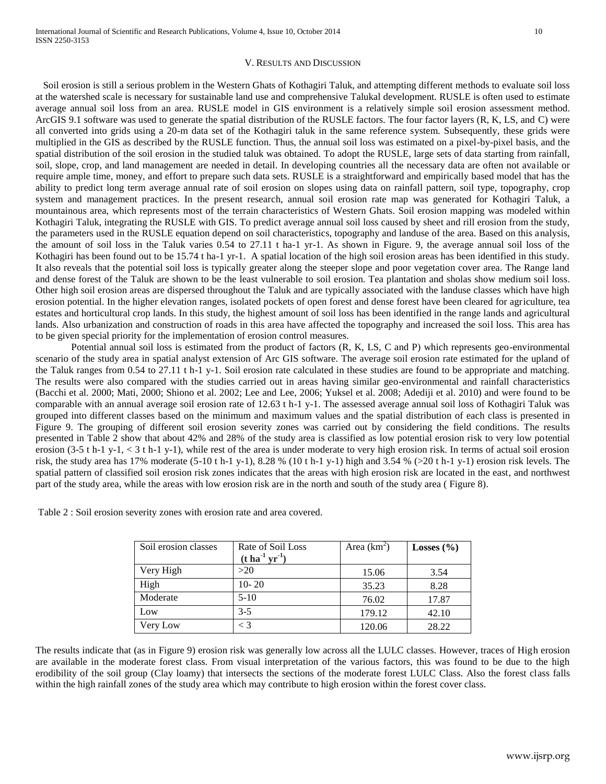#### V. RESULTS AND DISCUSSION

 Soil erosion is still a serious problem in the Western Ghats of Kothagiri Taluk, and attempting different methods to evaluate soil loss at the watershed scale is necessary for sustainable land use and comprehensive Talukal development. RUSLE is often used to estimate average annual soil loss from an area. RUSLE model in GIS environment is a relatively simple soil erosion assessment method. ArcGIS 9.1 software was used to generate the spatial distribution of the RUSLE factors. The four factor layers (R, K, LS, and C) were all converted into grids using a 20-m data set of the Kothagiri taluk in the same reference system. Subsequently, these grids were multiplied in the GIS as described by the RUSLE function. Thus, the annual soil loss was estimated on a pixel-by-pixel basis, and the spatial distribution of the soil erosion in the studied taluk was obtained. To adopt the RUSLE, large sets of data starting from rainfall, soil, slope, crop, and land management are needed in detail. In developing countries all the necessary data are often not available or require ample time, money, and effort to prepare such data sets. RUSLE is a straightforward and empirically based model that has the ability to predict long term average annual rate of soil erosion on slopes using data on rainfall pattern, soil type, topography, crop system and management practices. In the present research, annual soil erosion rate map was generated for Kothagiri Taluk, a mountainous area, which represents most of the terrain characteristics of Western Ghats. Soil erosion mapping was modeled within Kothagiri Taluk, integrating the RUSLE with GIS. To predict average annual soil loss caused by sheet and rill erosion from the study, the parameters used in the RUSLE equation depend on soil characteristics, topography and landuse of the area. Based on this analysis, the amount of soil loss in the Taluk varies 0.54 to 27.11 t ha-1 yr-1. As shown in Figure. 9, the average annual soil loss of the Kothagiri has been found out to be 15.74 t ha-1 yr-1. A spatial location of the high soil erosion areas has been identified in this study. It also reveals that the potential soil loss is typically greater along the steeper slope and poor vegetation cover area. The Range land and dense forest of the Taluk are shown to be the least vulnerable to soil erosion. Tea plantation and sholas show medium soil loss. Other high soil erosion areas are dispersed throughout the Taluk and are typically associated with the landuse classes which have high erosion potential. In the higher elevation ranges, isolated pockets of open forest and dense forest have been cleared for agriculture, tea estates and horticultural crop lands. In this study, the highest amount of soil loss has been identified in the range lands and agricultural lands. Also urbanization and construction of roads in this area have affected the topography and increased the soil loss. This area has to be given special priority for the implementation of erosion control measures.

Potential annual soil loss is estimated from the product of factors (R, K, LS, C and P) which represents geo-environmental scenario of the study area in spatial analyst extension of Arc GIS software. The average soil erosion rate estimated for the upland of the Taluk ranges from 0.54 to 27.11 t h-1 y-1. Soil erosion rate calculated in these studies are found to be appropriate and matching. The results were also compared with the studies carried out in areas having similar geo-environmental and rainfall characteristics (Bacchi et al. 2000; Mati, 2000; Shiono et al. 2002; Lee and Lee, 2006; Yuksel et al. 2008; Adediji et al. 2010) and were found to be comparable with an annual average soil erosion rate of 12.63 t h-1 y-1. The assessed average annual soil loss of Kothagiri Taluk was grouped into different classes based on the minimum and maximum values and the spatial distribution of each class is presented in Figure 9. The grouping of different soil erosion severity zones was carried out by considering the field conditions. The results presented in Table 2 show that about 42% and 28% of the study area is classified as low potential erosion risk to very low potential erosion (3-5 t h-1 y-1, < 3 t h-1 y-1), while rest of the area is under moderate to very high erosion risk. In terms of actual soil erosion risk, the study area has 17% moderate (5-10 t h-1 y-1), 8.28 % (10 t h-1 y-1) high and 3.54 % (>20 t h-1 y-1) erosion risk levels. The spatial pattern of classified soil erosion risk zones indicates that the areas with high erosion risk are located in the east, and northwest part of the study area, while the areas with low erosion risk are in the north and south of the study area ( Figure 8).

| Soil erosion classes | Rate of Soil Loss<br>$(t \, \text{ha}^{-1} \, \text{yr}^{-1})$ | Area $(km^2)$ | Losses $(\% )$ |
|----------------------|----------------------------------------------------------------|---------------|----------------|
| Very High            | >20                                                            | 15.06         | 3.54           |
| High                 | $10 - 20$                                                      | 35.23         | 8.28           |
| Moderate             | $5-10$                                                         | 76.02         | 17.87          |
| Low                  | $3 - 5$                                                        | 179.12        | 42.10          |
| Very Low             |                                                                | 120.06        | 28.22          |

Table 2 : Soil erosion severity zones with erosion rate and area covered.

The results indicate that (as in Figure 9) erosion risk was generally low across all the LULC classes. However, traces of High erosion are available in the moderate forest class. From visual interpretation of the various factors, this was found to be due to the high erodibility of the soil group (Clay loamy) that intersects the sections of the moderate forest LULC Class. Also the forest class falls within the high rainfall zones of the study area which may contribute to high erosion within the forest cover class.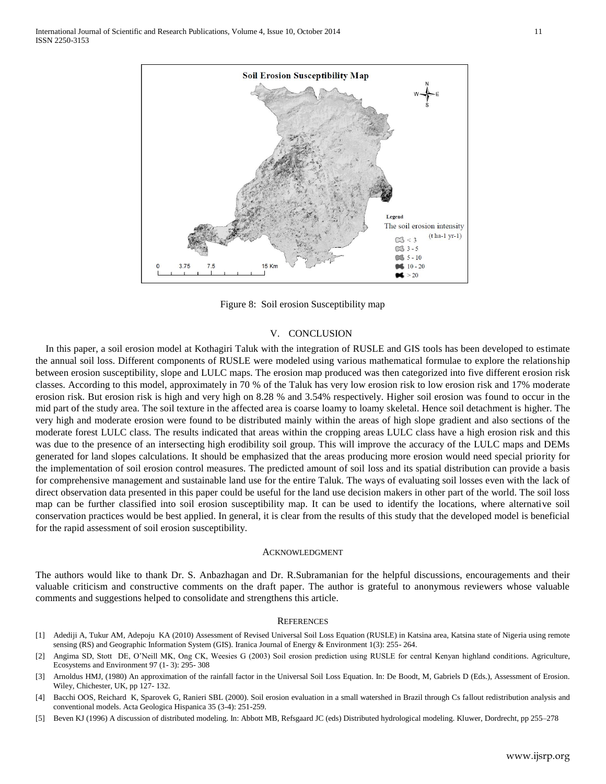

Figure 8: Soil erosion Susceptibility map

#### V. CONCLUSION

In this paper, a soil erosion model at Kothagiri Taluk with the integration of RUSLE and GIS tools has been developed to estimate the annual soil loss. Different components of RUSLE were modeled using various mathematical formulae to explore the relationship between erosion susceptibility, slope and LULC maps. The erosion map produced was then categorized into five different erosion risk classes. According to this model, approximately in 70 % of the Taluk has very low erosion risk to low erosion risk and 17% moderate erosion risk. But erosion risk is high and very high on 8.28 % and 3.54% respectively. Higher soil erosion was found to occur in the mid part of the study area. The soil texture in the affected area is coarse loamy to loamy skeletal. Hence soil detachment is higher. The very high and moderate erosion were found to be distributed mainly within the areas of high slope gradient and also sections of the moderate forest LULC class. The results indicated that areas within the cropping areas LULC class have a high erosion risk and this was due to the presence of an intersecting high erodibility soil group. This will improve the accuracy of the LULC maps and DEMs generated for land slopes calculations. It should be emphasized that the areas producing more erosion would need special priority for the implementation of soil erosion control measures. The predicted amount of soil loss and its spatial distribution can provide a basis for comprehensive management and sustainable land use for the entire Taluk. The ways of evaluating soil losses even with the lack of direct observation data presented in this paper could be useful for the land use decision makers in other part of the world. The soil loss map can be further classified into soil erosion susceptibility map. It can be used to identify the locations, where alternative soil conservation practices would be best applied. In general, it is clear from the results of this study that the developed model is beneficial for the rapid assessment of soil erosion susceptibility.

#### ACKNOWLEDGMENT

The authors would like to thank Dr. S. Anbazhagan and Dr. R.Subramanian for the helpful discussions, encouragements and their valuable criticism and constructive comments on the draft paper. The author is grateful to anonymous reviewers whose valuable comments and suggestions helped to consolidate and strengthens this article.

#### **REFERENCES**

- [1] Adediji A, Tukur AM, Adepoju KA (2010) Assessment of Revised Universal Soil Loss Equation (RUSLE) in Katsina area, Katsina state of Nigeria using remote sensing (RS) and Geographic Information System (GIS). Iranica Journal of Energy & Environment 1(3): 255- 264.
- [2] Angima SD, Stott DE, O'Neill MK, Ong CK, Weesies G (2003) Soil erosion prediction using RUSLE for central Kenyan highland conditions. Agriculture, Ecosystems and Environment 97 (1- 3): 295- 308
- [3] Arnoldus HMJ, (1980) An approximation of the rainfall factor in the Universal Soil Loss Equation. In: De Boodt, M, Gabriels D (Eds.), Assessment of Erosion. Wiley, Chichester, UK, pp 127- 132.
- [4] Bacchi OOS, Reichard K, Sparovek G, Ranieri SBL (2000). Soil erosion evaluation in a small watershed in Brazil through Cs fallout redistribution analysis and conventional models. Acta Geologica Hispanica 35 (3-4): 251-259.
- [5] Beven KJ (1996) A discussion of distributed modeling. In: Abbott MB, Refsgaard JC (eds) Distributed hydrological modeling. Kluwer, Dordrecht, pp 255–278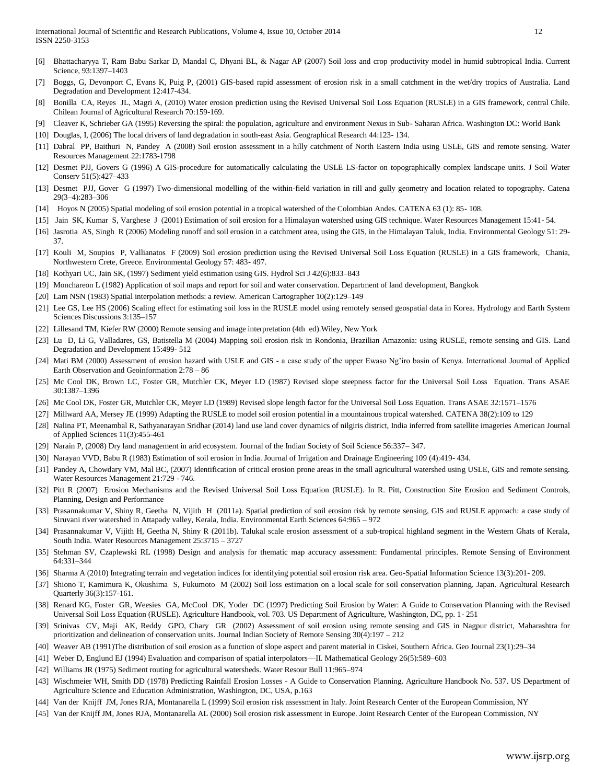- [6] Bhattacharyya T, Ram Babu Sarkar D, Mandal C, Dhyani BL, & Nagar AP (2007) Soil loss and crop productivity model in humid subtropical India. Current Science, 93:1397–1403
- [7] Boggs, G, Devonport C, Evans K, Puig P, (2001) GIS-based rapid assessment of erosion risk in a small catchment in the wet/dry tropics of Australia. Land Degradation and Development 12:417-434.
- [8] Bonilla CA, Reyes JL, Magri A, (2010) Water erosion prediction using the Revised Universal Soil Loss Equation (RUSLE) in a GIS framework, central Chile. Chilean Journal of Agricultural Research 70:159-169.
- [9] Cleaver K, Schrieber GA (1995) Reversing the spiral: the population, agriculture and environment Nexus in Sub- Saharan Africa. Washington DC: World Bank
- [10] Douglas, I, (2006) The local drivers of land degradation in south-east Asia. Geographical Research 44:123- 134.
- [11] Dabral PP, Baithuri N, Pandey A (2008) Soil erosion assessment in a hilly catchment of North Eastern India using USLE, GIS and remote sensing. Water Resources Management 22:1783-1798
- [12] Desmet PJJ, Govers G (1996) A GIS-procedure for automatically calculating the USLE LS-factor on topographically complex landscape units. J Soil Water Conserv 51(5):427–433
- [13] Desmet PJJ, Gover G (1997) Two-dimensional modelling of the within-field variation in rill and gully geometry and location related to topography. Catena 29(3–4):283–306
- [14] Hoyos N (2005) Spatial modeling of soil erosion potential in a tropical watershed of the Colombian Andes. CATENA 63 (1): 85- 108.
- [15] Jain SK, Kumar S, Varghese J (2001) Estimation of soil erosion for a Himalayan watershed using GIS technique. Water Resources Management 15:41- 54.
- [16] Jasrotia AS, Singh R (2006) Modeling runoff and soil erosion in a catchment area, using the GIS, in the Himalayan Taluk, India. Environmental Geology 51: 29- 37.
- [17] Kouli M, Soupios P, Vallianatos F (2009) Soil erosion prediction using the Revised Universal Soil Loss Equation (RUSLE) in a GIS framework, Chania, Northwestern Crete, Greece. Environmental Geology 57: 483- 497.
- [18] Kothyari UC, Jain SK, (1997) Sediment yield estimation using GIS. Hydrol Sci J 42(6):833–843
- [19] Monchareon L (1982) Application of soil maps and report for soil and water conservation. Department of land development, Bangkok
- [20] Lam NSN (1983) Spatial interpolation methods: a review. American Cartographer 10(2):129–149
- [21] Lee GS, Lee HS (2006) Scaling effect for estimating soil loss in the RUSLE model using remotely sensed geospatial data in Korea. Hydrology and Earth System Sciences Discussions 3:135–157
- [22] Lillesand TM, Kiefer RW (2000) Remote sensing and image interpretation (4th ed).Wiley, New York
- [23] Lu D, Li G, Valladares, GS, Batistella M (2004) Mapping soil erosion risk in Rondonia, Brazilian Amazonia: using RUSLE, remote sensing and GIS. Land Degradation and Development 15:499- 512
- [24] Mati BM (2000) Assessment of erosion hazard with USLE and GIS a case study of the upper Ewaso Ng'iro basin of Kenya. International Journal of Applied Earth Observation and Geoinformation 2:78 – 86
- [25] Mc Cool DK, Brown LC, Foster GR, Mutchler CK, Meyer LD (1987) Revised slope steepness factor for the Universal Soil Loss Equation. Trans ASAE 30:1387–1396
- [26] Mc Cool DK, Foster GR, Mutchler CK, Meyer LD (1989) Revised slope length factor for the Universal Soil Loss Equation. Trans ASAE 32:1571–1576
- [27] Millward AA, Mersey JE (1999) Adapting the RUSLE to model soil erosion potential in a mountainous tropical watershed. CATENA 38(2):109 to 129
- [28] Nalina PT, Meenambal R, Sathyanarayan Sridhar (2014) land use land cover dynamics of nilgiris district, India inferred from satellite imageries American Journal of Applied Sciences 11(3):455-461
- [29] Narain P, (2008) Dry land management in arid ecosystem. Journal of the Indian Society of Soil Science 56:337– 347.
- [30] Narayan VVD, Babu R (1983) Estimation of soil erosion in India. Journal of Irrigation and Drainage Engineering 109 (4):419- 434.
- [31] Pandey A, Chowdary VM, Mal BC, (2007) Identification of critical erosion prone areas in the small agricultural watershed using USLE, GIS and remote sensing. Water Resources Management 21:729 - 746.
- [32] Pitt R (2007) Erosion Mechanisms and the Revised Universal Soil Loss Equation (RUSLE). In R. Pitt, Construction Site Erosion and Sediment Controls, Planning, Design and Performance
- [33] Prasannakumar V, Shiny R, Geetha N, Vijith H (2011a). Spatial prediction of soil erosion risk by remote sensing, GIS and RUSLE approach: a case study of Siruvani river watershed in Attapady valley, Kerala, India. Environmental Earth Sciences 64:965 – 972
- [34] Prasannakumar V, Vijith H, Geetha N, Shiny R (2011b). Talukal scale erosion assessment of a sub-tropical highland segment in the Western Ghats of Kerala, South India. Water Resources Management 25:3715 – 3727
- [35] Stehman SV, Czaplewski RL (1998) Design and analysis for thematic map accuracy assessment: Fundamental principles. Remote Sensing of Environment 64:331–344
- [36] Sharma A (2010) Integrating terrain and vegetation indices for identifying potential soil erosion risk area. Geo-Spatial Information Science 13(3):201- 209.
- [37] Shiono T, Kamimura K, Okushima S, Fukumoto M (2002) Soil loss estimation on a local scale for soil conservation planning. Japan. Agricultural Research Quarterly 36(3):157-161.
- [38] Renard KG, Foster GR, Weesies GA, McCool DK, Yoder DC (1997) Predicting Soil Erosion by Water: A Guide to Conservation Planning with the Revised Universal Soil Loss Equation (RUSLE). Agriculture Handbook, vol. 703. US Department of Agriculture, Washington, DC, pp. 1- 251
- [39] Srinivas CV, Maji AK, Reddy GPO, Chary GR (2002) Assessment of soil erosion using remote sensing and GIS in Nagpur district, Maharashtra for prioritization and delineation of conservation units. Journal Indian Society of Remote Sensing 30(4):197 – 212
- [40] Weaver AB (1991)The distribution of soil erosion as a function of slope aspect and parent material in Ciskei, Southern Africa. Geo Journal 23(1):29–34
- [41] Weber D, Englund EJ (1994) Evaluation and comparison of spatial interpolators—II. Mathematical Geology 26(5):589–603
- [42] Williams JR (1975) Sediment routing for agricultural watersheds. Water Resour Bull 11:965–974
- [43] Wischmeier WH, Smith DD (1978) Predicting Rainfall Erosion Losses A Guide to Conservation Planning. Agriculture Handbook No. 537. US Department of Agriculture Science and Education Administration, Washington, DC, USA, p.163
- [44] Van der Knijff JM, Jones RJA, Montanarella L (1999) Soil erosion risk assessment in Italy. Joint Research Center of the European Commission, NY
- [45] Van der Knijff JM, Jones RJA, Montanarella AL (2000) Soil erosion risk assessment in Europe. Joint Research Center of the European Commission, NY